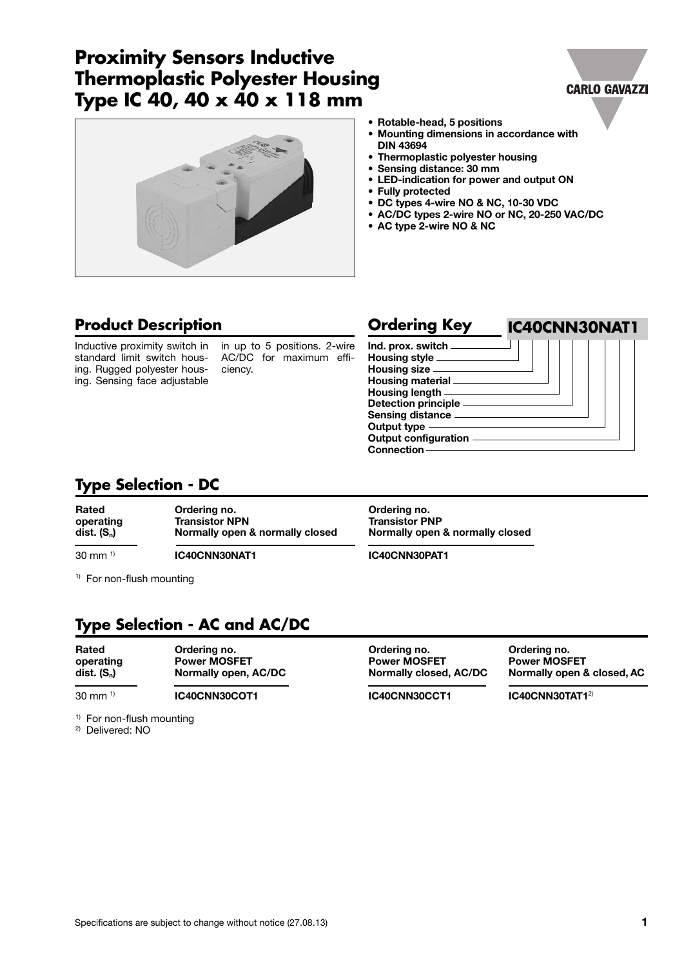## **Proximity Sensors Inductive Thermoplastic Polyester Housing Type IC 40, 40 x 40 x 118 mm**





- **• Rotable-head, 5 positions**
- **• Mounting dimensions in accordance with DIN 43694**
- **• Thermoplastic polyester housing**
- **• Sensing distance: 30 mm**
- **• LED-indication for power and output ON**
- **• Fully protected**
- **• DC types 4-wire NO & NC, 10-30 VDC**
- **• AC/DC types 2-wire NO or NC, 20-250 VAC/DC**
- **• AC type 2-wire NO & NC**

### **Product Description**

Inductive proximity switch in standard limit switch housing. Rugged polyester housing. Sensing face adjustable

in up to 5 positions. 2-wire AC/DC for maximum efficiency.

| <b>Ordering Key</b>                                                                          | IC40CNN30NAT1 |
|----------------------------------------------------------------------------------------------|---------------|
| Ind. prox. switch<br>Housing style _____<br>Housing size _____<br>Housing material           |               |
| Housing length $-\!\!-\!\!$<br>Detection principle ____<br>Sensing distance -<br>Output type |               |
| <b>Output configuration</b><br>Connection                                                    |               |

### **Type Selection - DC**

| Rated                | Ordering no.                    | Ordering no.                    |
|----------------------|---------------------------------|---------------------------------|
| operating            | <b>Transistor NPN</b>           | <b>Transistor PNP</b>           |
| dist. $(S_n)$        | Normally open & normally closed | Normally open & normally closed |
| $30 \text{ mm}^{-1}$ | IC40CNN30NAT1                   | IC40CNN30PAT1                   |

<sup>1)</sup> For non-flush mounting

### **Type Selection - AC and AC/DC**

| Rated<br>operating<br>$dist.$ $(S_n)$ | Ordering no.<br><b>Power MOSFET</b><br>Normally open, AC/DC |  |  |
|---------------------------------------|-------------------------------------------------------------|--|--|
| $30 \text{ mm}^{-1}$                  | IC40CNN30COT1                                               |  |  |

**Rated Ordering no. Ordering no. Ordering no. operating Power MOSFET Power MOSFET Power MOSFET**

**dist. (Sn) Normally open, AC/DC Normally closed, AC/DC Normally open & closed, AC**

<sup>1)</sup> For non-flush mounting

2) Delivered: NO

**IC40CNN30CCT1 IC40CNN30TAT1**<sup>2)</sup>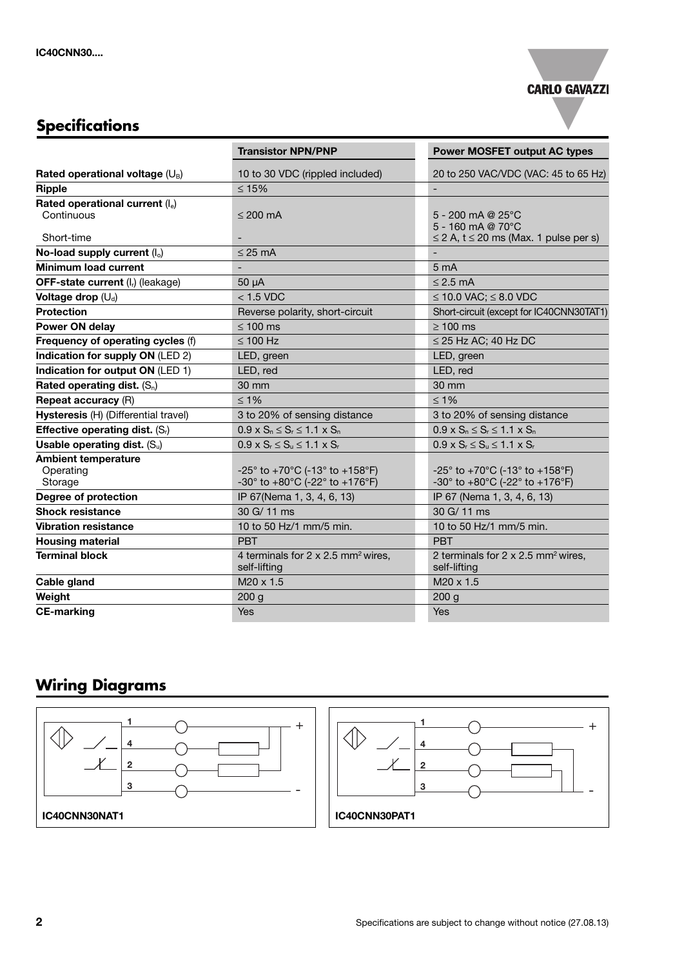

# **Specifications**

|                                                    | <b>Transistor NPN/PNP</b>                                                                                  | <b>Power MOSFET output AC types</b>                                                                        |
|----------------------------------------------------|------------------------------------------------------------------------------------------------------------|------------------------------------------------------------------------------------------------------------|
| Rated operational voltage $(U_B)$                  | 10 to 30 VDC (rippled included)                                                                            | 20 to 250 VAC/VDC (VAC: 45 to 65 Hz)                                                                       |
| <b>Ripple</b>                                      | $≤ 15%$                                                                                                    |                                                                                                            |
| Rated operational current (le)<br>Continuous       | $\leq$ 200 mA                                                                                              | 5 - 200 mA @ $25^{\circ}$ C<br>5 - 160 mA @ 70°C                                                           |
| Short-time                                         |                                                                                                            | $\leq$ 2 A, t $\leq$ 20 ms (Max. 1 pulse per s)                                                            |
| No-load supply current $(I_0)$                     | $\leq$ 25 mA                                                                                               |                                                                                                            |
| <b>Minimum load current</b>                        | $\overline{\phantom{0}}$                                                                                   | 5 <sub>mA</sub>                                                                                            |
| <b>OFF-state current (I<sub>r</sub>) (leakage)</b> | $50 \mu A$                                                                                                 | $\leq$ 2.5 mA                                                                                              |
| Voltage drop $(U_d)$                               | $<$ 1.5 VDC                                                                                                | ≤ 10.0 VAC; $≤$ 8.0 VDC                                                                                    |
| <b>Protection</b>                                  | Reverse polarity, short-circuit                                                                            | Short-circuit (except for IC40CNN30TAT1)                                                                   |
| Power ON delay                                     | $\leq 100$ ms                                                                                              | $\geq 100$ ms                                                                                              |
| Frequency of operating cycles (f)                  | $\leq 100$ Hz                                                                                              | $\leq$ 25 Hz AC; 40 Hz DC                                                                                  |
| Indication for supply ON (LED 2)                   | LED, green                                                                                                 | LED, green                                                                                                 |
| Indication for output ON (LED 1)                   | LED, red                                                                                                   | LED, red                                                                                                   |
| Rated operating dist. $(S_n)$                      | 30 mm                                                                                                      | 30 mm                                                                                                      |
| <b>Repeat accuracy (R)</b>                         | $\leq 1\%$                                                                                                 | $\leq 1\%$                                                                                                 |
| Hysteresis (H) (Differential travel)               | 3 to 20% of sensing distance                                                                               | 3 to 20% of sensing distance                                                                               |
| Effective operating dist. $(S_r)$                  | $0.9 \times S_n \le S_r \le 1.1 \times S_n$                                                                | $0.9 \times S_n \le S_r \le 1.1 \times S_n$                                                                |
| Usable operating dist. $(S_u)$                     | $0.9 \times S_r \leq S_u \leq 1.1 \times S_r$                                                              | $0.9 \times S_r \leq S_u \leq 1.1 \times S_r$                                                              |
| <b>Ambient temperature</b><br>Operating<br>Storage | -25° to +70°C (-13° to +158°F)<br>-30 $^{\circ}$ to +80 $^{\circ}$ C (-22 $^{\circ}$ to +176 $^{\circ}$ F) | -25° to +70°C (-13° to +158°F)<br>-30 $^{\circ}$ to +80 $^{\circ}$ C (-22 $^{\circ}$ to +176 $^{\circ}$ F) |
| Degree of protection                               | IP 67(Nema 1, 3, 4, 6, 13)                                                                                 | IP 67 (Nema 1, 3, 4, 6, 13)                                                                                |
| <b>Shock resistance</b>                            | 30 G/ 11 ms                                                                                                | 30 G/11 ms                                                                                                 |
| <b>Vibration resistance</b>                        | 10 to 50 Hz/1 mm/5 min.                                                                                    | 10 to 50 Hz/1 mm/5 min.                                                                                    |
| <b>Housing material</b>                            | <b>PRT</b>                                                                                                 | <b>PBT</b>                                                                                                 |
| <b>Terminal block</b>                              | 4 terminals for 2 x 2.5 mm <sup>2</sup> wires.<br>self-lifting                                             | 2 terminals for 2 x 2.5 mm <sup>2</sup> wires,<br>self-lifting                                             |
| Cable gland                                        | M <sub>20</sub> x 1.5                                                                                      | M <sub>20</sub> x 1.5                                                                                      |
| Weight                                             | 200 g                                                                                                      | 200 <sub>g</sub>                                                                                           |
| <b>CE-marking</b>                                  | <b>Yes</b>                                                                                                 | <b>Yes</b>                                                                                                 |

### **Wiring Diagrams**